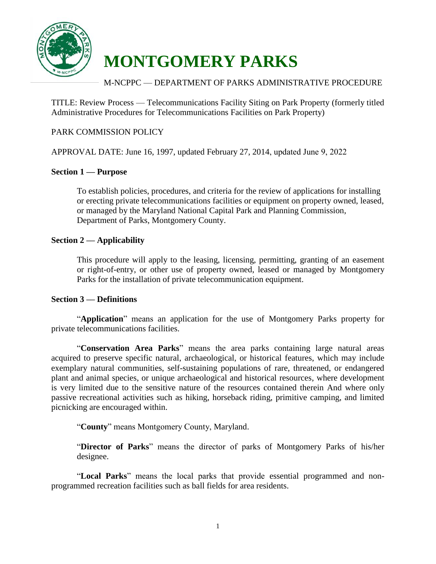

# **MONTGOMERY PARKS**

## M-NCPPC –– DEPARTMENT OF PARKS ADMINISTRATIVE PROCEDURE

TITLE: Review Process –– Telecommunications Facility Siting on Park Property (formerly titled Administrative Procedures for Telecommunications Facilities on Park Property)

#### PARK COMMISSION POLICY

APPROVAL DATE: June 16, 1997, updated February 27, 2014, updated June 9, 2022

#### **Section 1 –– Purpose**

 To establish policies, procedures, and criteria for the review of applications for installing or erecting private telecommunications facilities or equipment on property owned, leased, or managed by the Maryland National Capital Park and Planning Commission, Department of Parks, Montgomery County.

#### **Section 2 –– Applicability**

 This procedure will apply to the leasing, licensing, permitting, granting of an easement or right-of-entry, or other use of property owned, leased or managed by Montgomery Parks for the installation of private telecommunication equipment.

#### **Section 3 –– Definitions**

 "**Application**" means an application for the use of Montgomery Parks property for private telecommunications facilities.

 "**Conservation Area Parks**" means the area parks containing large natural areas acquired to preserve specific natural, archaeological, or historical features, which may include is very limited due to the sensitive nature of the resources contained therein And where only picnicking are encouraged within. exemplary natural communities, self-sustaining populations of rare, threatened, or endangered plant and animal species, or unique archaeological and historical resources, where development passive recreational activities such as hiking, horseback riding, primitive camping, and limited

"**County**" means Montgomery County, Maryland.

 "**Director of Parks**" means the director of parks of Montgomery Parks of his/her designee.

"**Local Parks**" means the local parks that provide essential programmed and nonprogrammed recreation facilities such as ball fields for area residents.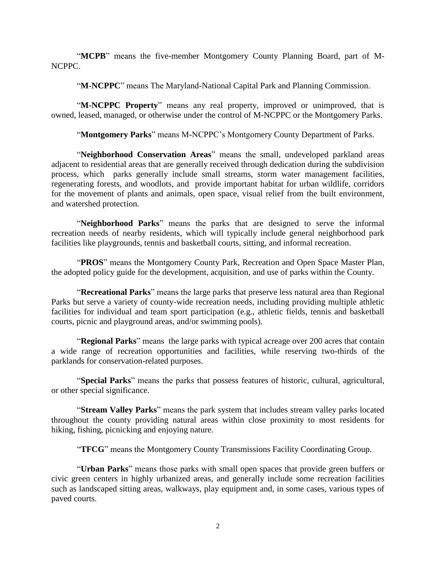"**MCPB**" means the five-member Montgomery County Planning Board, part of M-NCPPC.

"**M-NCPPC**" means The Maryland-National Capital Park and Planning Commission.

"**M-NCPPC Property**" means any real property, improved or unimproved, that is owned, leased, managed, or otherwise under the control of M-NCPPC or the Montgomery Parks.

"**Montgomery Parks**" means M-NCPPC's Montgomery County Department of Parks.

 adjacent to residential areas that are generally received through dedication during the subdivision process, which parks generally include small streams, storm water management facilities, regenerating forests, and woodlots, and provide important habitat for urban wildlife, corridors "**Neighborhood Conservation Areas**" means the small, undeveloped parkland areas for the movement of plants and animals, open space, visual relief from the built environment, and watershed protection.

 recreation needs of nearby residents, which will typically include general neighborhood park "**Neighborhood Parks**" means the parks that are designed to serve the informal facilities like playgrounds, tennis and basketball courts, sitting, and informal recreation.

 "**PROS**" means the Montgomery County Park, Recreation and Open Space Master Plan, the adopted policy guide for the development, acquisition, and use of parks within the County.

 "**Recreational Parks**" means the large parks that preserve less natural area than Regional Parks but serve a variety of county-wide recreation needs, including providing multiple athletic facilities for individual and team sport participation (e.g., athletic fields, tennis and basketball courts, picnic and playground areas, and/or swimming pools).

 "**Regional Parks**" means the large parks with typical acreage over 200 acres that contain a wide range of recreation opportunities and facilities, while reserving two-thirds of the parklands for conservation-related purposes.

"**Special Parks**" means the parks that possess features of historic, cultural, agricultural, or other special significance.

 "**Stream Valley Parks**" means the park system that includes stream valley parks located throughout the county providing natural areas within close proximity to most residents for hiking, fishing, picnicking and enjoying nature.

"**TFCG**" means the Montgomery County Transmissions Facility Coordinating Group.

 "**Urban Parks**" means those parks with small open spaces that provide green buffers or civic green centers in highly urbanized areas, and generally include some recreation facilities such as landscaped sitting areas, walkways, play equipment and, in some cases, various types of paved courts.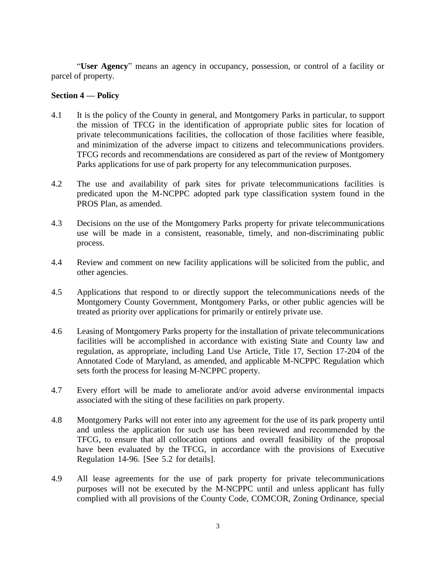"**User Agency**" means an agency in occupancy, possession, or control of a facility or parcel of property.

#### **Section 4 –– Policy**

- 4.1 It is the policy of the County in general, and Montgomery Parks in particular, to support the mission of TFCG in the identification of appropriate public sites for location of private telecommunications facilities, the collocation of those facilities where feasible, and minimization of the adverse impact to citizens and telecommunications providers. TFCG records and recommendations are considered as part of the review of Montgomery Parks applications for use of park property for any telecommunication purposes.
- 4.2 The use and availability of park sites for private telecommunications facilities is predicated upon the M-NCPPC adopted park type classification system found in the PROS Plan, as amended.
- 4.3 Decisions on the use of the Montgomery Parks property for private telecommunications use will be made in a consistent, reasonable, timely, and non-discriminating public process.
- 4.4 Review and comment on new facility applications will be solicited from the public, and other agencies.
- 4.5 Applications that respond to or directly support the telecommunications needs of the Montgomery County Government, Montgomery Parks, or other public agencies will be treated as priority over applications for primarily or entirely private use.
- treated as priority over applications for primarily or entirely private use.<br>4.6 Leasing of Montgomery Parks property for the installation of private telecommunications facilities will be accomplished in accordance with existing State and County law and regulation, as appropriate, including Land Use Article, Title 17, Section 17-204 of the Annotated Code of Maryland, as amended, and applicable M-NCPPC Regulation which sets forth the process for leasing M-NCPPC property.
- 4.7 Every effort will be made to ameliorate and/or avoid adverse environmental impacts associated with the siting of these facilities on park property.
- 4.8 Montgomery Parks will not enter into any agreement for the use of its park property until and unless the application for such use has been reviewed and recommended by the TFCG, to ensure that all collocation options and overall feasibility of the proposal have been evaluated by the TFCG, in accordance with the provisions of Executive Regulation 14-96. [See 5.2 for details].
- 4.9 All lease agreements for the use of park property for private telecommunications purposes will not be executed by the M-NCPPC until and unless applicant has fully complied with all provisions of the County Code, COMCOR, Zoning Ordinance, special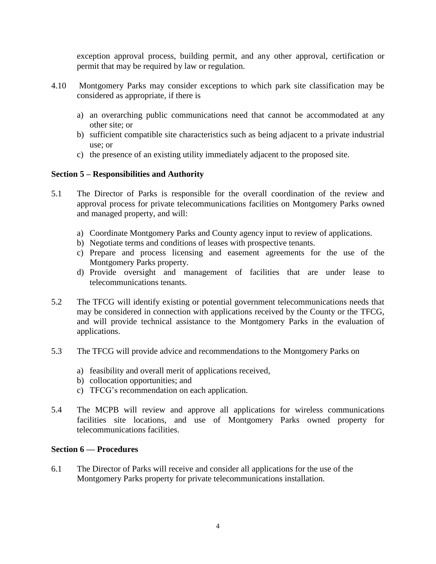exception approval process, building permit, and any other approval, certification or permit that may be required by law or regulation.

- 4.10 considered as appropriate, if there is Montgomery Parks may consider exceptions to which park site classification may be
	- a) an overarching public communications need that cannot be accommodated at any other site; or
	- b) sufficient compatible site characteristics such as being adjacent to a private industrial use; or
	- c) the presence of an existing utility immediately adjacent to the proposed site.

### **Section 5 – Responsibilities and Authority**

- $5.1$  approval process for private telecommunications facilities on Montgomery Parks owned The Director of Parks is responsible for the overall coordination of the review and and managed property, and will:
	- a) Coordinate Montgomery Parks and County agency input to review of applications.
	- b) Negotiate terms and conditions of leases with prospective tenants.
	- c) Prepare and process licensing and easement agreements for the use of the Montgomery Parks property.
	- d) Provide oversight and management of facilities that are under lease to telecommunications tenants.
- $5.2$  may be considered in connection with applications received by the County or the TFCG, and will provide technical assistance to the Montgomery Parks in the evaluation of The TFCG will identify existing or potential government telecommunications needs that applications.
- 5.3 5.3 The TFCG will provide advice and recommendations to the Montgomery Parks on
	- a) feasibility and overall merit of applications received,
	- b) collocation opportunities; and
	- c) TFCG's recommendation on each application.
- 5.4 facilities site locations, and use of Montgomery Parks owned property for The MCPB will review and approve all applications for wireless communications telecommunications facilities.

#### **Section 6 –– Procedures**

 $6.1$  Montgomery Parks property for private telecommunications installation. The Director of Parks will receive and consider all applications for the use of the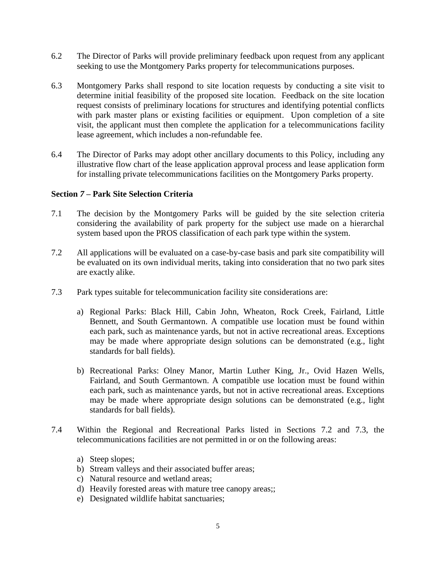- $6.2$ seeking to use the Montgomery Parks property for telecommunications purposes.
- 6.3 Montgomery Parks shall respond to site location requests by conducting a site visit to determine initial feasibility of the proposed site location. Feedback on the site location request consists of preliminary locations for structures and identifying potential conflicts with park master plans or existing facilities or equipment. Upon completion of a site visit, the applicant must then complete the application for a telecommunications facility lease agreement, which includes a non-refundable fee. The Director of Parks will provide preliminary feedback upon request from any applicant seeking to use the Montgomery Parks property for telecommunications purposes.<br>
6.3 Montgomery Parks shall respond to site location req
- 6.4 illustrative flow chart of the lease application approval process and lease application form for installing private telecommunications facilities on the Montgomery Parks property. The Director of Parks may adopt other ancillary documents to this Policy, including any

#### **Section** *7* **– Park Site Selection Criteria**

- $7.1$  considering the availability of park property for the subject use made on a hierarchal The decision by the Montgomery Parks will be guided by the site selection criteria system based upon the PROS classification of each park type within the system.
- $7.2$  be evaluated on its own individual merits, taking into consideration that no two park sites All applications will be evaluated on a case-by-case basis and park site compatibility will are exactly alike.
- 7.3 Park types suitable for telecommunication facility site considerations are:
	- Bennett, and South Germantown. A compatible use location must be found within may be made where appropriate design solutions can be demonstrated (e.g., light a) Regional Parks: Black Hill, Cabin John, Wheaton, Rock Creek, Fairland, Little each park, such as maintenance yards, but not in active recreational areas. Exceptions standards for ball fields).
	- Fairland, and South Germantown. A compatible use location must be found within may be made where appropriate design solutions can be demonstrated (e.g., light b) Recreational Parks: Olney Manor, Martin Luther King, Jr., Ovid Hazen Wells, each park, such as maintenance yards, but not in active recreational areas. Exceptions standards for ball fields).
- telecommunications facilities are not permitted in or on the following areas: 7.4 Within the Regional and Recreational Parks listed in Sections 7.2 and 7.3, the
	- a) Steep slopes;
	- b) Stream valleys and their associated buffer areas;
	- c) Natural resource and wetland areas;
	- d) Heavily forested areas with mature tree canopy areas;;
	- e) Designated wildlife habitat sanctuaries;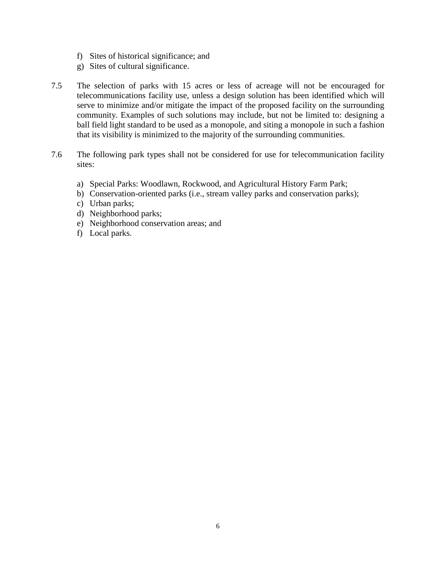- f) Sites of historical significance; and
- g) Sites of cultural significance.
- $7.5$  telecommunications facility use, unless a design solution has been identified which will serve to minimize and/or mitigate the impact of the proposed facility on the surrounding community. Examples of such solutions may include, but not be limited to: designing a The selection of parks with 15 acres or less of acreage will not be encouraged for ball field light standard to be used as a monopole, and siting a monopole in such a fashion that its visibility is minimized to the majority of the surrounding communities.
- 7.6 The following park types shall not be considered for use for telecommunication facility sites:
	- a) Special Parks: Woodlawn, Rockwood, and Agricultural History Farm Park;
	- b) Conservation-oriented parks (i.e., stream valley parks and conservation parks);
	- c) Urban parks;
	- d) Neighborhood parks;
	- e) Neighborhood conservation areas; and
	- f) Local parks.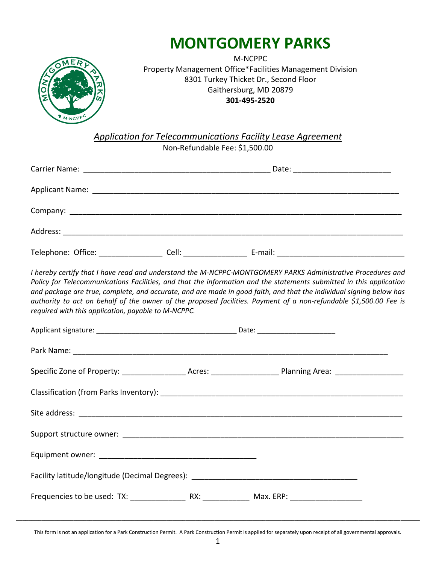

# **MONTGOMERY PARKS**

M-NCPPC Property Management Office\*Facilities Management Division 8301 Turkey Thicket Dr., Second Floor Gaithersburg, MD 20879 **301-495-2520** 

 *Application for Telecommunications Facility Lease Agreement* 

Non-Refundable Fee: \$[1,500.00](https://1,500.00)

| required with this application, payable to M-NCPPC. | I hereby certify that I have read and understand the M-NCPPC-MONTGOMERY PARKS Administrative Procedures and<br>Policy for Telecommunications Facilities, and that the information and the statements submitted in this application<br>and package are true, complete, and accurate, and are made in good faith, and that the individual signing below has<br>authority to act on behalf of the owner of the proposed facilities. Payment of a non-refundable \$1,500.00 Fee is |
|-----------------------------------------------------|--------------------------------------------------------------------------------------------------------------------------------------------------------------------------------------------------------------------------------------------------------------------------------------------------------------------------------------------------------------------------------------------------------------------------------------------------------------------------------|
|                                                     |                                                                                                                                                                                                                                                                                                                                                                                                                                                                                |
|                                                     |                                                                                                                                                                                                                                                                                                                                                                                                                                                                                |
|                                                     | Specific Zone of Property: ______________________Acres: _______________________Planning Area: ________________                                                                                                                                                                                                                                                                                                                                                                 |
|                                                     |                                                                                                                                                                                                                                                                                                                                                                                                                                                                                |
|                                                     |                                                                                                                                                                                                                                                                                                                                                                                                                                                                                |
|                                                     |                                                                                                                                                                                                                                                                                                                                                                                                                                                                                |
|                                                     |                                                                                                                                                                                                                                                                                                                                                                                                                                                                                |
|                                                     | Facility latitude/longitude (Decimal Degrees): _________________________________                                                                                                                                                                                                                                                                                                                                                                                               |
|                                                     |                                                                                                                                                                                                                                                                                                                                                                                                                                                                                |

 This form is not an application for a Park Construction Permit. A Park Construction Permit is applied for separately upon receipt of all governmental approvals. **\_\_\_\_\_\_\_\_\_\_\_\_\_\_\_\_\_\_\_\_\_\_\_\_\_\_\_\_\_\_\_\_\_\_\_\_\_\_\_\_\_\_\_\_\_\_\_\_\_\_\_\_\_\_\_\_\_\_\_\_\_\_\_\_\_\_\_\_\_\_\_\_\_\_\_\_\_\_\_\_\_\_\_\_\_\_\_\_\_\_\_\_\_\_\_\_\_\_\_\_\_\_\_\_\_\_\_\_\_\_\_\_\_\_\_\_\_\_\_\_\_\_\_\_\_\_**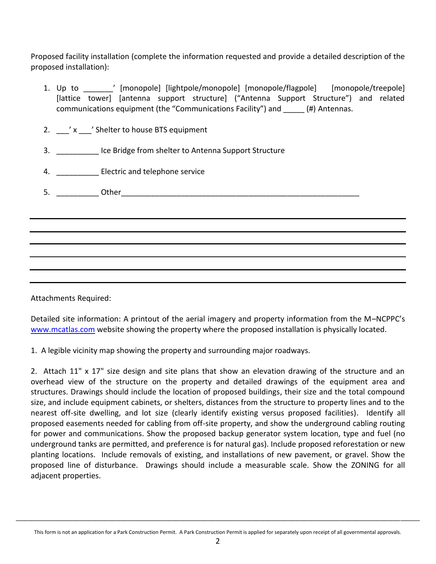Proposed facility installation (complete the information requested and provide a detailed description of the proposed installation):

- 1. Up to \_\_\_\_\_\_\_' [monopole] [lightpole/monopole] [monopole/flagpole] [monopole/treepole] [lattice tower] [antenna support structure] ("Antenna Support Structure") and related [lattice tower] [antenna support structure] ("Antenna Support Structure")<br>communications equipment (the "Communications Facility") and \_\_\_\_\_ (#) Antennas.
- 2.  $\gamma$   $\alpha$   $\gamma$   $\gamma$   $\gamma$  Shelter to house BTS equipment
- 3. \_\_\_\_\_\_\_\_\_\_ Ice Bridge from shelter to Antenna Support Structure
- 4. **Electric and telephone service**
- 5. \_\_\_\_\_\_\_\_\_\_ Other\_\_\_\_\_\_\_\_\_\_\_\_\_\_\_\_\_\_\_\_\_\_\_\_\_\_\_\_\_\_\_\_\_\_\_\_\_\_\_\_\_\_\_\_\_\_\_\_\_\_\_\_\_\_\_\_

Attachments Required:

 Detailed site information: A printout of the aerial imagery and property information from the M–NCPPC's [www.mcatlas.com](http://www.mcatlas.com/) website showing the property where the proposed installation is physically located.

1. A legible vicinity map showing the property and surrounding major roadways.

 2. Attach 11" x 17" size design and site plans that show an elevation drawing of the structure and an overhead view of the structure on the property and detailed drawings of the equipment area and structures. Drawings should include the location of proposed buildings, their size and the total compound size, and include equipment cabinets, or shelters, distances from the structure to property lines and to the nearest off-site dwelling, and lot size (clearly identify existing versus proposed facilities). Identify all proposed easements needed for cabling from off-site property, and show the underground cabling routing for power and communications. Show the proposed backup generator system location, type and fuel (no underground tanks are permitted, and preference is for natural gas). Include proposed reforestation or new planting locations. Include removals of existing, and installations of new pavement, or gravel. Show the proposed line of disturbance. Drawings should include a measurable scale. Show the ZONING for all adjacent properties.